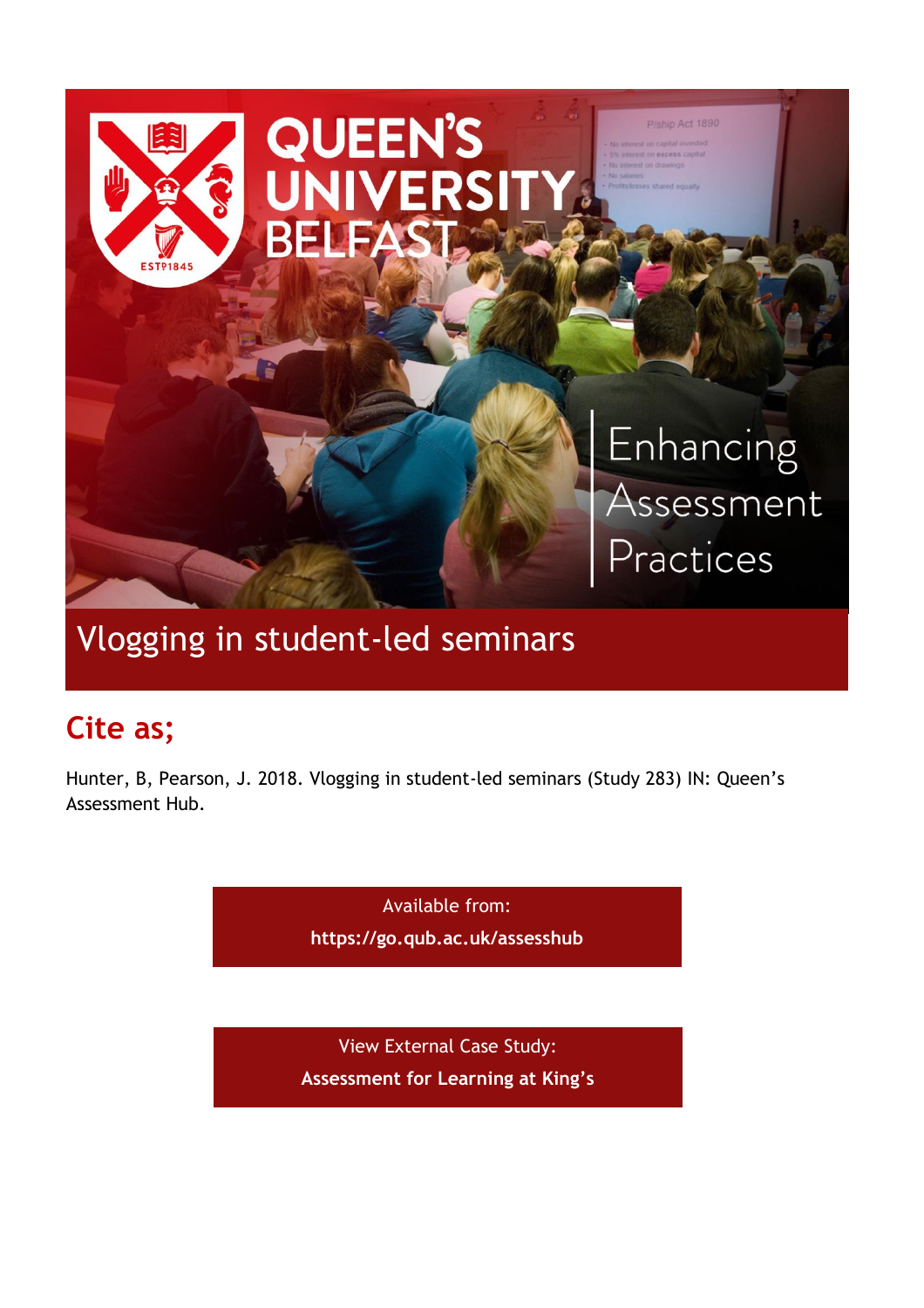

# Vlogging in student-led seminars

# **Cite as;**

Hunter, B, Pearson, J. 2018. Vlogging in student-led seminars (Study 283) IN: Queen's Assessment Hub.

> Available from: **<https://go.qub.ac.uk/assesshub>**

View External Case Study: **[Assessment for Learning at King's](https://blogs.kcl.ac.uk/aflkings/2018/11/12/vlogging-in-student-led-seminars/)**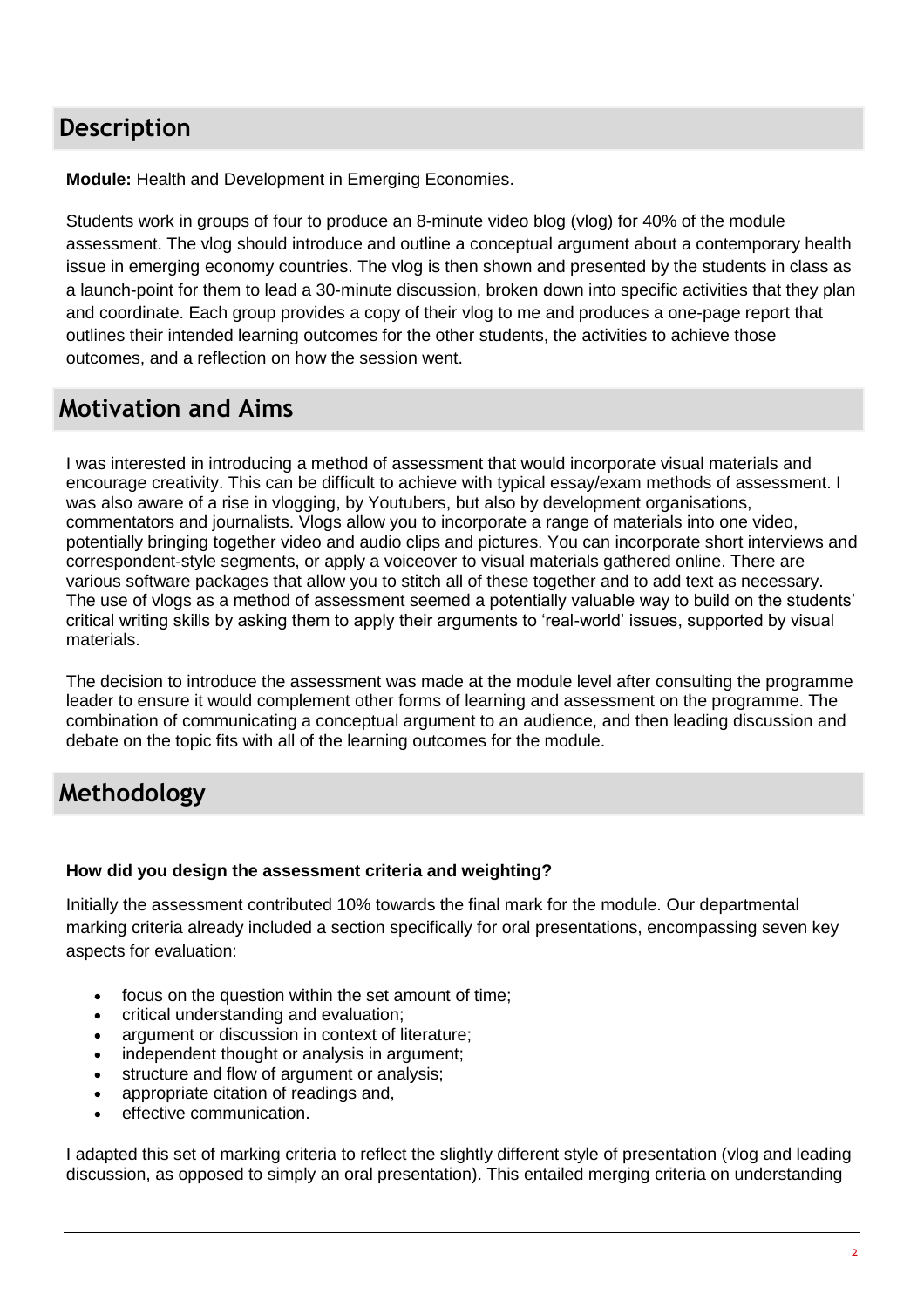## **Description**

**Module:** Health and Development in Emerging Economies.

Students work in groups of four to produce an 8-minute video blog (vlog) for 40% of the module assessment. The vlog should introduce and outline a conceptual argument about a contemporary health issue in emerging economy countries. The vlog is then shown and presented by the students in class as a launch-point for them to lead a 30-minute discussion, broken down into specific activities that they plan and coordinate. Each group provides a copy of their vlog to me and produces a one-page report that outlines their intended learning outcomes for the other students, the activities to achieve those outcomes, and a reflection on how the session went.

### **Motivation and Aims**

I was interested in introducing a method of assessment that would incorporate visual materials and encourage creativity. This can be difficult to achieve with typical essay/exam methods of assessment. I was also aware of a rise in vlogging, by Youtubers, but also by development organisations, commentators and journalists. Vlogs allow you to incorporate a range of materials into one video, potentially bringing together video and audio clips and pictures. You can incorporate short interviews and correspondent-style segments, or apply a voiceover to visual materials gathered online. There are various software packages that allow you to stitch all of these together and to add text as necessary. The use of vlogs as a method of assessment seemed a potentially valuable way to build on the students' critical writing skills by asking them to apply their arguments to 'real-world' issues, supported by visual materials.

The decision to introduce the assessment was made at the module level after consulting the programme leader to ensure it would complement other forms of learning and assessment on the programme. The combination of communicating a conceptual argument to an audience, and then leading discussion and debate on the topic fits with all of the learning outcomes for the module.

### **Methodology**

#### **How did you design the assessment criteria and weighting?**

Initially the assessment contributed 10% towards the final mark for the module. Our departmental marking criteria already included a section specifically for oral presentations, encompassing seven key aspects for evaluation:

- focus on the question within the set amount of time;
- critical understanding and evaluation;
- argument or discussion in context of literature;
- independent thought or analysis in argument;
- structure and flow of argument or analysis;
- appropriate citation of readings and,
- effective communication.

I adapted this set of marking criteria to reflect the slightly different style of presentation (vlog and leading discussion, as opposed to simply an oral presentation). This entailed merging criteria on understanding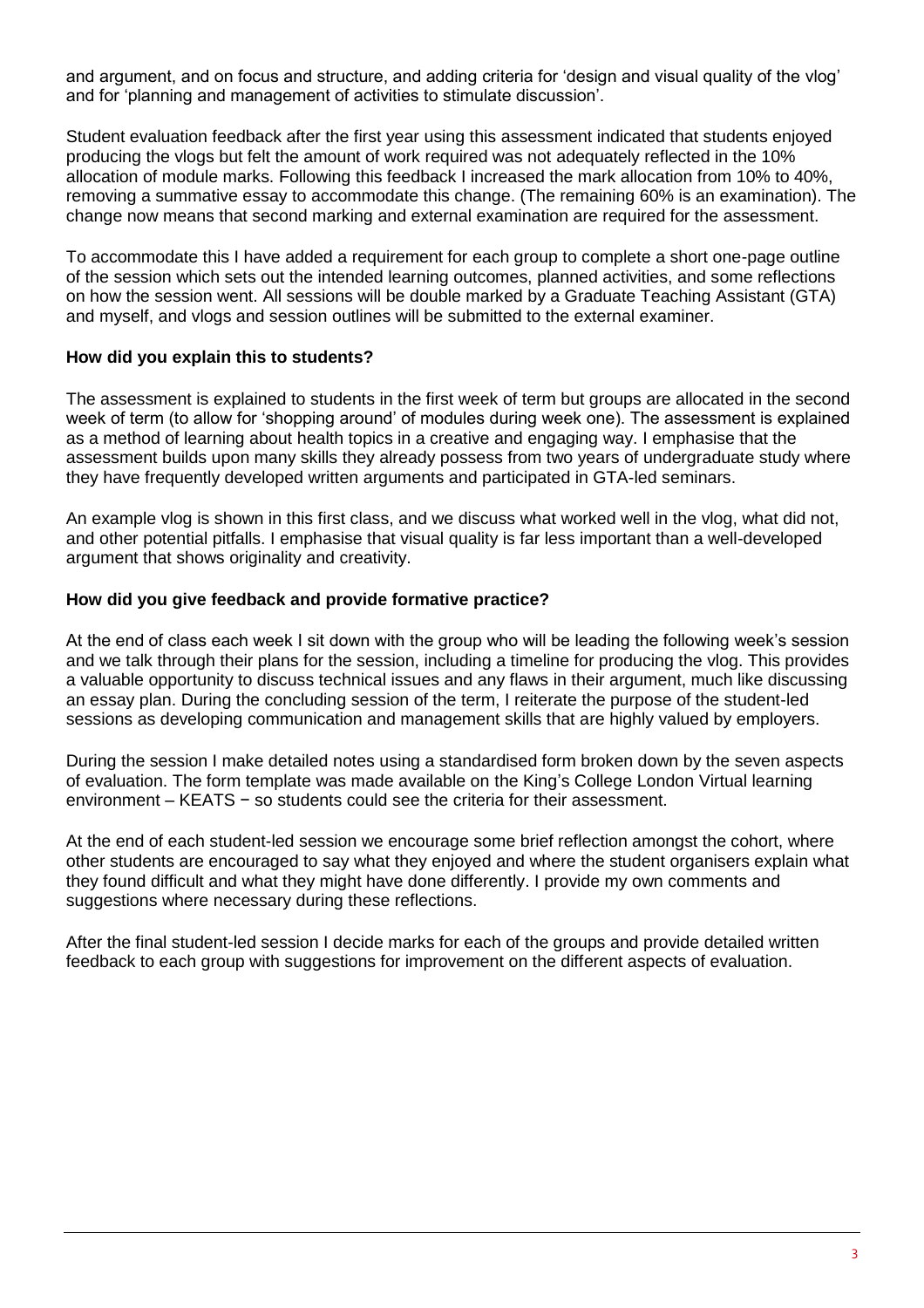and argument, and on focus and structure, and adding criteria for 'design and visual quality of the vlog' and for 'planning and management of activities to stimulate discussion'.

Student evaluation feedback after the first year using this assessment indicated that students enjoyed producing the vlogs but felt the amount of work required was not adequately reflected in the 10% allocation of module marks. Following this feedback I increased the mark allocation from 10% to 40%, removing a summative essay to accommodate this change. (The remaining 60% is an examination). The change now means that second marking and external examination are required for the assessment.

To accommodate this I have added a requirement for each group to complete a short one-page outline of the session which sets out the intended learning outcomes, planned activities, and some reflections on how the session went. All sessions will be double marked by a Graduate Teaching Assistant (GTA) and myself, and vlogs and session outlines will be submitted to the external examiner.

#### **How did you explain this to students?**

The assessment is explained to students in the first week of term but groups are allocated in the second week of term (to allow for 'shopping around' of modules during week one). The assessment is explained as a method of learning about health topics in a creative and engaging way. I emphasise that the assessment builds upon many skills they already possess from two years of undergraduate study where they have frequently developed written arguments and participated in GTA-led seminars.

An example vlog is shown in this first class, and we discuss what worked well in the vlog, what did not, and other potential pitfalls. I emphasise that visual quality is far less important than a well-developed argument that shows originality and creativity.

#### **How did you give feedback and provide formative practice?**

At the end of class each week I sit down with the group who will be leading the following week's session and we talk through their plans for the session, including a timeline for producing the vlog. This provides a valuable opportunity to discuss technical issues and any flaws in their argument, much like discussing an essay plan. During the concluding session of the term, I reiterate the purpose of the student-led sessions as developing communication and management skills that are highly valued by employers.

During the session I make detailed notes using a standardised form broken down by the seven aspects of evaluation. The form template was made available on the King's College London Virtual learning environment – KEATS − so students could see the criteria for their assessment.

At the end of each student-led session we encourage some brief reflection amongst the cohort, where other students are encouraged to say what they enjoyed and where the student organisers explain what they found difficult and what they might have done differently. I provide my own comments and suggestions where necessary during these reflections.

After the final student-led session I decide marks for each of the groups and provide detailed written feedback to each group with suggestions for improvement on the different aspects of evaluation.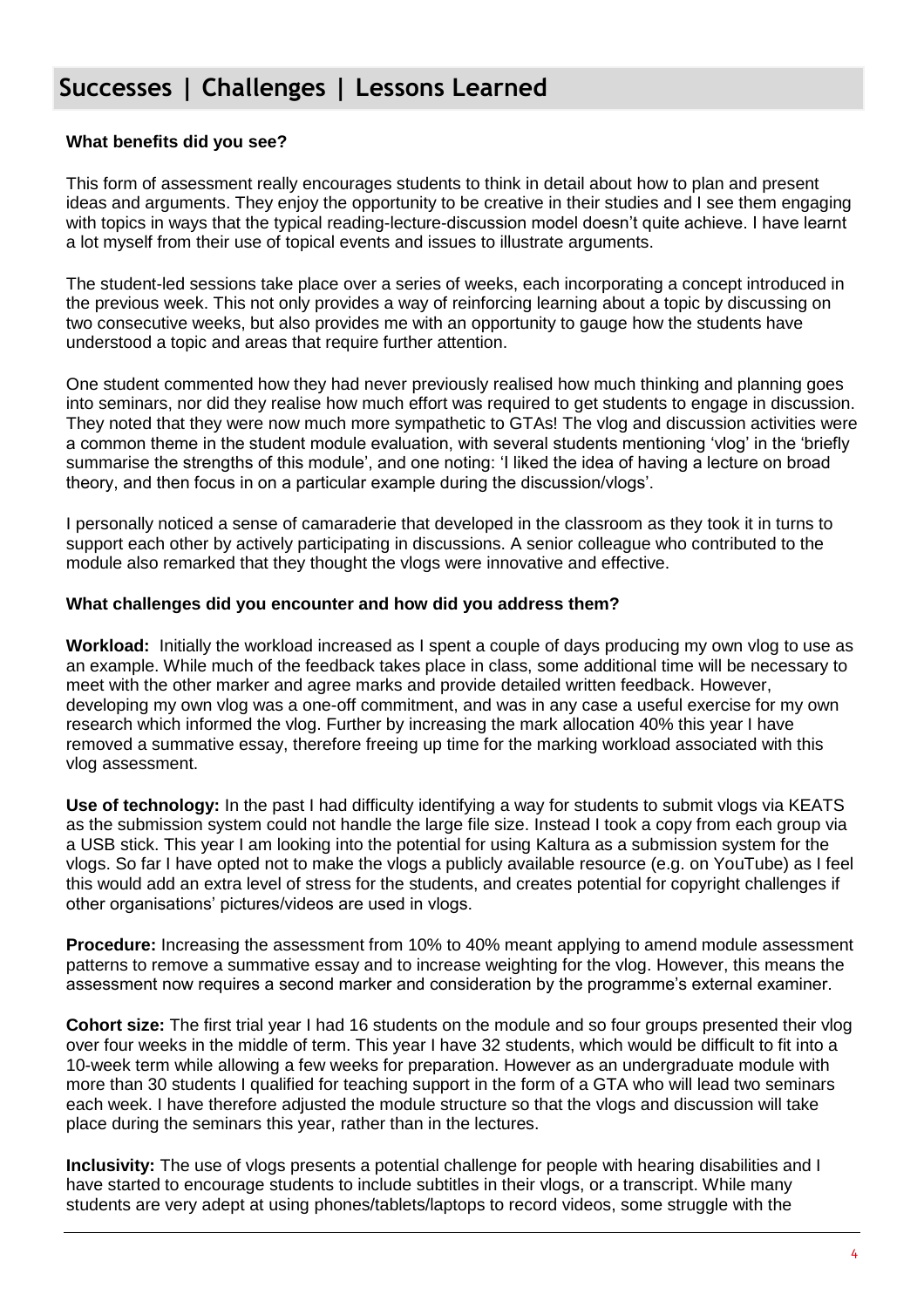### **Successes | Challenges | Lessons Learned**

#### **What benefits did you see?**

This form of assessment really encourages students to think in detail about how to plan and present ideas and arguments. They enjoy the opportunity to be creative in their studies and I see them engaging with topics in ways that the typical reading-lecture-discussion model doesn't quite achieve. I have learnt a lot myself from their use of topical events and issues to illustrate arguments.

The student-led sessions take place over a series of weeks, each incorporating a concept introduced in the previous week. This not only provides a way of reinforcing learning about a topic by discussing on two consecutive weeks, but also provides me with an opportunity to gauge how the students have understood a topic and areas that require further attention.

One student commented how they had never previously realised how much thinking and planning goes into seminars, nor did they realise how much effort was required to get students to engage in discussion. They noted that they were now much more sympathetic to GTAs! The vlog and discussion activities were a common theme in the student module evaluation, with several students mentioning 'vlog' in the 'briefly summarise the strengths of this module', and one noting: 'I liked the idea of having a lecture on broad theory, and then focus in on a particular example during the discussion/vlogs'.

I personally noticed a sense of camaraderie that developed in the classroom as they took it in turns to support each other by actively participating in discussions. A senior colleague who contributed to the module also remarked that they thought the vlogs were innovative and effective.

#### **What challenges did you encounter and how did you address them?**

**Workload:** Initially the workload increased as I spent a couple of days producing my own vlog to use as an example. While much of the feedback takes place in class, some additional time will be necessary to meet with the other marker and agree marks and provide detailed written feedback. However, developing my own vlog was a one-off commitment, and was in any case a useful exercise for my own research which informed the vlog. Further by increasing the mark allocation 40% this year I have removed a summative essay, therefore freeing up time for the marking workload associated with this vlog assessment.

**Use of technology:** In the past I had difficulty identifying a way for students to submit vlogs via KEATS as the submission system could not handle the large file size. Instead I took a copy from each group via a USB stick. This year I am looking into the potential for using Kaltura as a submission system for the vlogs. So far I have opted not to make the vlogs a publicly available resource (e.g. on YouTube) as I feel this would add an extra level of stress for the students, and creates potential for copyright challenges if other organisations' pictures/videos are used in vlogs.

**Procedure:** Increasing the assessment from 10% to 40% meant applying to amend module assessment patterns to remove a summative essay and to increase weighting for the vlog. However, this means the assessment now requires a second marker and consideration by the programme's external examiner.

**Cohort size:** The first trial year I had 16 students on the module and so four groups presented their vlog over four weeks in the middle of term. This year I have 32 students, which would be difficult to fit into a 10-week term while allowing a few weeks for preparation. However as an undergraduate module with more than 30 students I qualified for teaching support in the form of a GTA who will lead two seminars each week. I have therefore adjusted the module structure so that the vlogs and discussion will take place during the seminars this year, rather than in the lectures.

**Inclusivity:** The use of vlogs presents a potential challenge for people with hearing disabilities and I have started to encourage students to include subtitles in their vlogs, or a transcript. While many students are very adept at using phones/tablets/laptops to record videos, some struggle with the